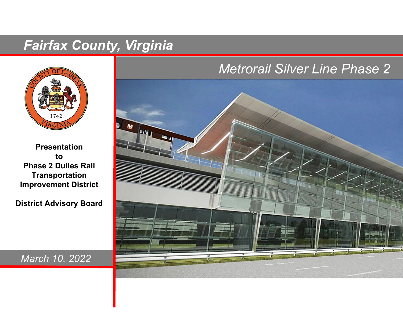# *Fairfax County, Virginia*



**PresentationtoPhase 2 Dulles RailTransportation Improvement District**

**District Advisory Board**

## *Metrorail Silver Line Phase 2*



*March 10, 2022*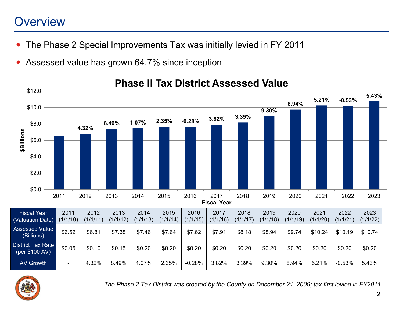# **Overview**

- $\bullet$ The Phase 2 Special Improvements Tax was initially levied in FY 2011
- $\bullet$ Assessed value has grown 64.7% since inception



## **Phase II Tax District Assessed Value**



*The Phase 2 Tax District was created by the County on December 21, 2009; tax first levied in FY2011*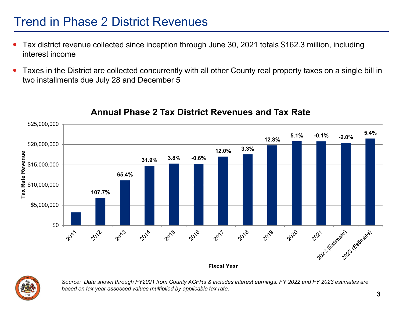# Trend in Phase 2 District Revenues

- $\bullet$  Tax district revenue collected since inception through June 30, 2021 totals \$162.3 million, including interest income
- $\bullet$  Taxes in the District are collected concurrently with all other County real property taxes on a single bill in two installments due July 28 and December 5



### **Annual Phase 2 Tax District Revenues and Tax Rate**

*Source: Data shown through FY2021 from County ACFRs & includes interest earnings. FY 2022 and FY 2023 estimates are based on tax year assessed values multiplied by applicable tax rate.*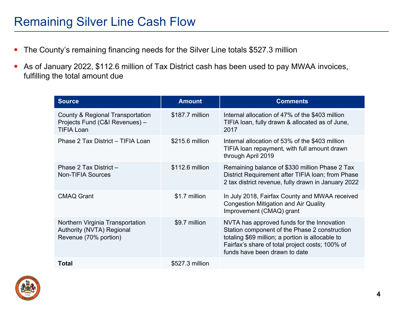- $\bullet$ The County's remaining financing needs for the Silver Line totals \$527.3 million
- As of January 2022, \$112.6 million of Tax District cash has been used to pay MWAA invoices, fulfilling the total amount due

| <b>Source</b>                                                                           | <b>Amount</b>   | <b>Comments</b>                                                                                                                                                                                                                     |
|-----------------------------------------------------------------------------------------|-----------------|-------------------------------------------------------------------------------------------------------------------------------------------------------------------------------------------------------------------------------------|
| County & Regional Transportation<br>Projects Fund (C&I Revenues) -<br><b>TIFIA Loan</b> | \$187.7 million | Internal allocation of 47% of the \$403 million<br>TIFIA loan, fully drawn & allocated as of June,<br>2017                                                                                                                          |
| Phase 2 Tax District - TIFIA Loan                                                       | \$215.6 million | Internal allocation of 53% of the \$403 million<br>TIFIA loan repayment, with full amount drawn<br>through April 2019                                                                                                               |
| Phase 2 Tax District -<br><b>Non-TIFIA Sources</b>                                      | \$112.6 million | Remaining balance of \$330 million Phase 2 Tax<br>District Requirement after TIFIA loan; from Phase<br>2 tax district revenue, fully drawn in January 2022                                                                          |
| <b>CMAQ Grant</b>                                                                       | \$1.7 million   | In July 2018, Fairfax County and MWAA received<br><b>Congestion Mitigation and Air Quality</b><br>Improvement (CMAQ) grant                                                                                                          |
| Northern Virginia Transportation<br>Authority (NVTA) Regional<br>Revenue (70% portion)  | \$9.7 million   | NVTA has approved funds for the Innovation<br>Station component of the Phase 2 construction<br>totaling \$69 million; a portion is allocable to<br>Fairfax's share of total project costs; 100% of<br>funds have been drawn to date |
| Total                                                                                   | \$527.3 million |                                                                                                                                                                                                                                     |

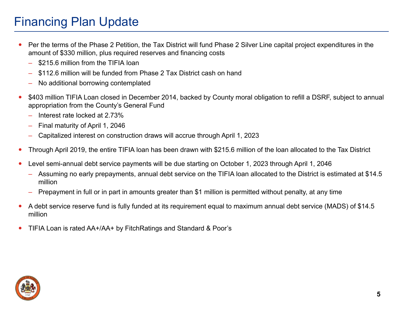# Financing Plan Update

- $\bullet$  Per the terms of the Phase 2 Petition, the Tax District will fund Phase 2 Silver Line capital project expenditures in the amount of \$330 million, plus required reserves and financing costs
	- –\$215.6 million from the TIFIA loan
	- –\$112.6 million will be funded from Phase 2 Tax District cash on hand
	- –No additional borrowing contemplated
- $\bullet$ \$403 million TIFIA Loan closed in December 2014, backed by County moral obligation to refill a DSRF, subject to annual appropriation from the County's General Fund
	- –Interest rate locked at 2.73%
	- –Final maturity of April 1, 2046
	- –Capitalized interest on construction draws will accrue through April 1, 2023
- $\bullet$ Through April 2019, the entire TIFIA loan has been drawn with \$215.6 million of the loan allocated to the Tax District
- $\bullet$  Level semi-annual debt service payments will be due starting on October 1, 2023 through April 1, 2046
	- Assuming no early prepayments, annual debt service on the TIFIA loan allocated to the District is estimated at \$14.5 million
	- Prepayment in full or in part in amounts greater than \$1 million is permitted without penalty, at any time
- $\bullet$  A debt service reserve fund is fully funded at its requirement equal to maximum annual debt service (MADS) of \$14.5 million
- $\bullet$ TIFIA Loan is rated AA+/AA+ by FitchRatings and Standard & Poor's

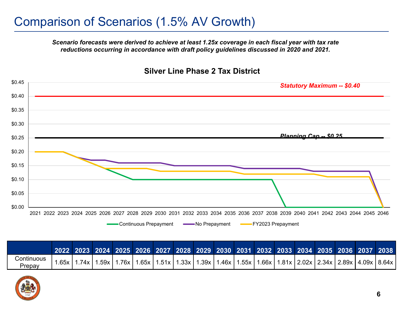*Scenario forecasts were derived to achieve at least 1.25x coverage in each fiscal year with tax rate reductions occurring in accordance with draft policy guidelines discussed in 2020 and 2021.*



#### **Silver Line Phase 2 Tax District**

|                      |        |        |        |  |  | 2022 2023 2024 2025 2026 2027 2028 2029 2030 2031 2032 2033 2034 2035 2036 2037 2038                          |  |  |  |  |
|----------------------|--------|--------|--------|--|--|---------------------------------------------------------------------------------------------------------------|--|--|--|--|
| Continuous<br>Prepav | .65x l | .74x l | .59x l |  |  | 1.76x   1.65x   1.51x   1.33x   1.39x   1.46x   1.55x   1.66x   1.81x   2.02x   2.34x   2.89x   4.09x   8.64x |  |  |  |  |

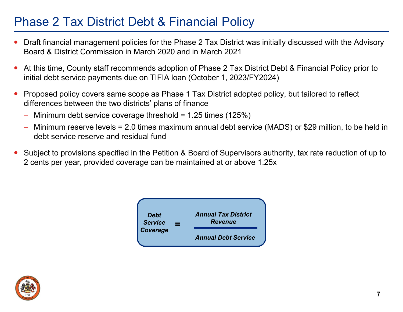# Phase 2 Tax District Debt & Financial Policy

- $\bullet$  Draft financial management policies for the Phase 2 Tax District was initially discussed with the Advisory Board & District Commission in March 2020 and in March 2021
- 0 At this time, County staff recommends adoption of Phase 2 Tax District Debt & Financial Policy prior to initial debt service payments due on TIFIA loan (October 1, 2023/FY2024)
- $\bullet$  Proposed policy covers same scope as Phase 1 Tax District adopted policy, but tailored to reflect differences between the two districts' plans of finance
	- Minimum debt service coverage threshold =  $1.25$  times (125%)
	- Minimum reserve levels = 2.0 times maximum annual debt service (MADS) or \$29 million, to be held in debt service reserve and residual fund
- $\bullet$  Subject to provisions specified in the Petition & Board of Supervisors authority, tax rate reduction of up to 2 cents per year, provided coverage can be maintained at or above 1.25x



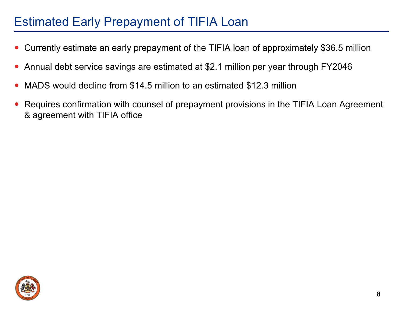# Estimated Early Prepayment of TIFIA Loan

- 0 Currently estimate an early prepayment of the TIFIA loan of approximately \$36.5 million
- 0 Annual debt service savings are estimated at \$2.1 million per year through FY2046
- $\bullet$ MADS would decline from \$14.5 million to an estimated \$12.3 million
- $\bullet$  Requires confirmation with counsel of prepayment provisions in the TIFIA Loan Agreement & agreement with TIFIA office